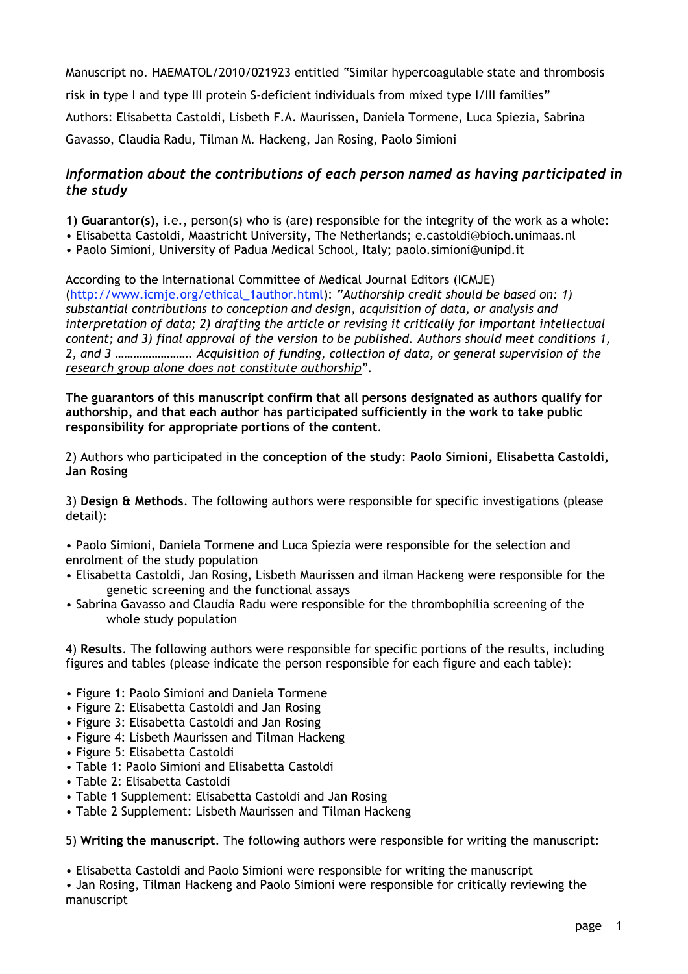Manuscript no. HAEMATOL/2010/021923 entitled "Similar hypercoagulable state and thrombosis risk in type I and type III protein S-deficient individuals from mixed type I/III families" Authors: Elisabetta Castoldi, Lisbeth F.A. Maurissen, Daniela Tormene, Luca Spiezia, Sabrina Gavasso, Claudia Radu, Tilman M. Hackeng, Jan Rosing, Paolo Simioni

## *Information about the contributions of each person named as having participated in the study*

**1) Guarantor(s)**, i.e., person(s) who is (are) responsible for the integrity of the work as a whole:

- Elisabetta Castoldi, Maastricht University, The Netherlands; e.castoldi@bioch.unimaas.nl
- Paolo Simioni, University of Padua Medical School, Italy; paolo.simioni@unipd.it

According to the International Committee of Medical Journal Editors (ICMJE) (http://www.icmje.org/ethical\_1author.html): *"Authorship credit should be based on: 1) substantial contributions to conception and design, acquisition of data, or analysis and interpretation of data; 2) drafting the article or revising it critically for important intellectual content; and 3) final approval of the version to be published. Authors should meet conditions 1, 2, and 3 ……………………. Acquisition of funding, collection of data, or general supervision of the research group alone does not constitute authorship".*

**The guarantors of this manuscript confirm that all persons designated as authors qualify for authorship, and that each author has participated sufficiently in the work to take public responsibility for appropriate portions of the content**.

2) Authors who participated in the **conception of the study**: **Paolo Simioni, Elisabetta Castoldi, Jan Rosing**

3) **Design & Methods**. The following authors were responsible for specific investigations (please detail):

• Paolo Simioni, Daniela Tormene and Luca Spiezia were responsible for the selection and enrolment of the study population

- Elisabetta Castoldi, Jan Rosing, Lisbeth Maurissen and ilman Hackeng were responsible for the genetic screening and the functional assays
- Sabrina Gavasso and Claudia Radu were responsible for the thrombophilia screening of the whole study population

4) **Results**. The following authors were responsible for specific portions of the results, including figures and tables (please indicate the person responsible for each figure and each table):

- Figure 1: Paolo Simioni and Daniela Tormene
- Figure 2: Elisabetta Castoldi and Jan Rosing
- Figure 3: Elisabetta Castoldi and Jan Rosing
- Figure 4: Lisbeth Maurissen and Tilman Hackeng
- Figure 5: Elisabetta Castoldi
- Table 1: Paolo Simioni and Elisabetta Castoldi
- Table 2: Elisabetta Castoldi
- Table 1 Supplement: Elisabetta Castoldi and Jan Rosing
- Table 2 Supplement: Lisbeth Maurissen and Tilman Hackeng

5) **Writing the manuscript**. The following authors were responsible for writing the manuscript:

• Elisabetta Castoldi and Paolo Simioni were responsible for writing the manuscript

• Jan Rosing, Tilman Hackeng and Paolo Simioni were responsible for critically reviewing the manuscript